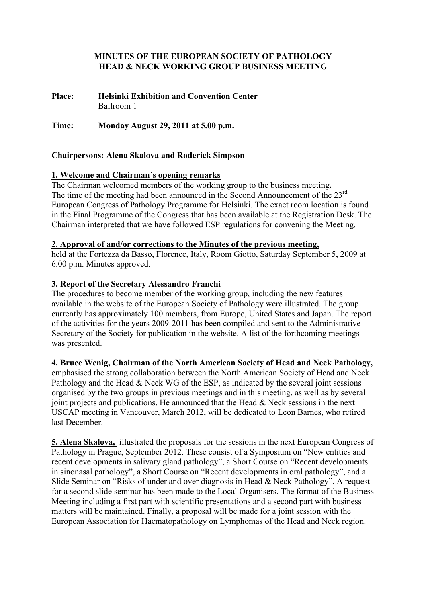## **MINUTES OF THE EUROPEAN SOCIETY OF PATHOLOGY HEAD & NECK WORKING GROUP BUSINESS MEETING**

**Place: Helsinki Exhibition and Convention Center** Ballroom 1

**Time: Monday August 29, 2011 at 5.00 p.m.**

# **Chairpersons: Alena Skalova and Roderick Simpson**

# **1. Welcome and Chairman´s opening remarks**

The Chairman welcomed members of the working group to the business meeting**.** The time of the meeting had been announced in the Second Announcement of the 23<sup>rd</sup> European Congress of Pathology Programme for Helsinki. The exact room location is found in the Final Programme of the Congress that has been available at the Registration Desk. The Chairman interpreted that we have followed ESP regulations for convening the Meeting.

## **2. Approval of and/or corrections to the Minutes of the previous meeting,**

held at the Fortezza da Basso, Florence, Italy, Room Giotto, Saturday September 5, 2009 at 6.00 p.m. Minutes approved.

## **3. Report of the Secretary Alessandro Franchi**

The procedures to become member of the working group, including the new features available in the website of the European Society of Pathology were illustrated. The group currently has approximately 100 members, from Europe, United States and Japan. The report of the activities for the years 2009-2011 has been compiled and sent to the Administrative Secretary of the Society for publication in the website. A list of the forthcoming meetings was presented.

## **4. Bruce Wenig, Chairman of the North American Society of Head and Neck Pathology,**

emphasised the strong collaboration between the North American Society of Head and Neck Pathology and the Head & Neck WG of the ESP, as indicated by the several joint sessions organised by the two groups in previous meetings and in this meeting, as well as by several joint projects and publications. He announced that the Head  $\&$  Neck sessions in the next USCAP meeting in Vancouver, March 2012, will be dedicated to Leon Barnes, who retired last December.

**5. Alena Skalova,** illustrated the proposals for the sessions in the next European Congress of Pathology in Prague, September 2012. These consist of a Symposium on "New entities and recent developments in salivary gland pathology", a Short Course on "Recent developments in sinonasal pathology", a Short Course on "Recent developments in oral pathology", and a Slide Seminar on "Risks of under and over diagnosis in Head & Neck Pathology". A request for a second slide seminar has been made to the Local Organisers. The format of the Business Meeting including a first part with scientific presentations and a second part with business matters will be maintained. Finally, a proposal will be made for a joint session with the European Association for Haematopathology on Lymphomas of the Head and Neck region.